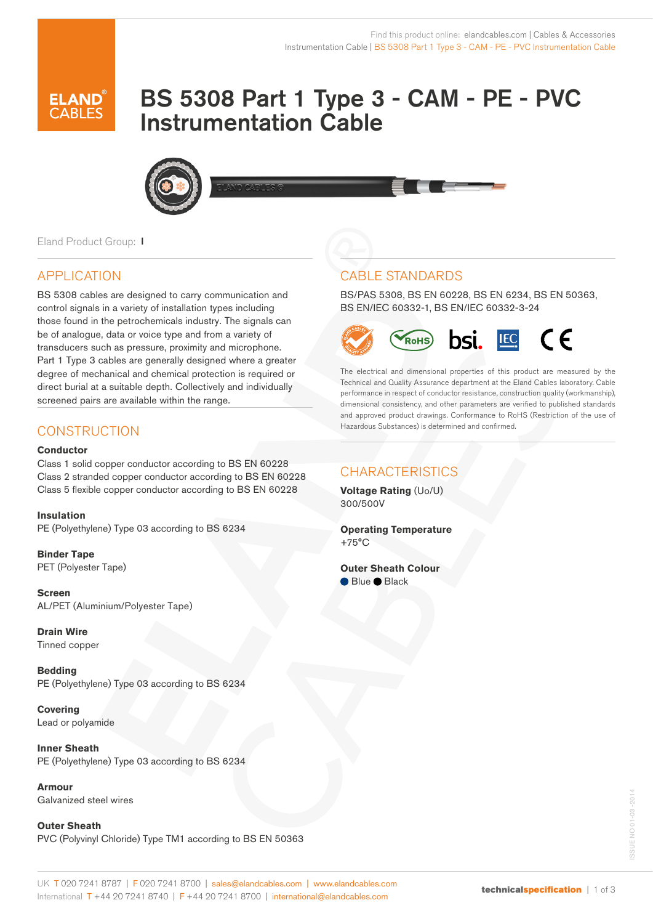# BS 5308 Part 1 Type 3 - CAM - PE - PVC Instrumentation Cable



Eland Product Group: I

# APPLICATION

BS 5308 cables are designed to carry communication and control signals in a variety of installation types including those found in the petrochemicals industry. The signals can be of analogue, data or voice type and from a variety of transducers such as pressure, proximity and microphone. Part 1 Type 3 cables are generally designed where a greater degree of mechanical and chemical protection is required or direct burial at a suitable depth. Collectively and individually screened pairs are available within the range.

#### **Conductor**

Class 1 solid copper conductor according to BS EN 60228 Class 2 stranded copper conductor according to BS EN 60228 Class 5 flexible copper conductor according to BS EN 60228

#### **Insulation**

PE (Polyethylene) Type 03 according to BS 6234

**Binder Tape** PET (Polyester Tape)

**Screen**  AL/PET (Aluminium/Polyester Tape)

**Drain Wire**  Tinned copper

**Bedding**  PE (Polyethylene) Type 03 according to BS 6234

**Covering** Lead or polyamide

**Inner Sheath**  PE (Polyethylene) Type 03 according to BS 6234

**Armour** Galvanized steel wires

**Outer Sheath**  PVC (Polyvinyl Chloride) Type TM1 according to BS EN 50363

# CABLE STANDARDS

BS/PAS 5308, BS EN 60228, BS EN 6234, BS EN 50363, BS EN/IEC 60332-1, BS EN/IEC 60332-3-24



The electrical and dimensional properties of this product are measured by the Technical and Quality Assurance department at the Eland Cables laboratory. Cable performance in respect of conductor resistance, construction quality (workmanship), dimensional consistency, and other parameters are verified to published standards and approved product drawings. Conformance to RoHS (Restriction of the use of Hazardous Substances) is determined and confirmed. CONSTRUCTION

# CHARACTERISTICS

**Voltage Rating** (Uo/U) 300/500V

**Operating Temperature** +75°C

#### **Outer Sheath Colour**

Blue Black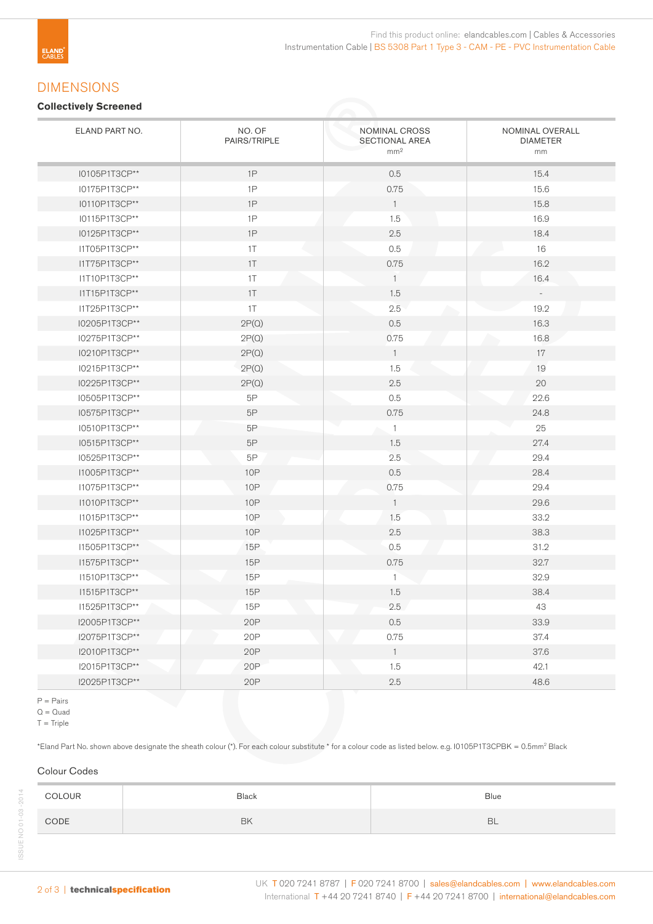## DIMENSIONS

#### **Collectively Screened**

| ELAND PART NO. | NO. OF<br>PAIRS/TRIPLE | NOMINAL CROSS<br>SECTIONAL AREA<br>mm <sup>2</sup> | NOMINAL OVERALL<br><b>DIAMETER</b><br>mm |
|----------------|------------------------|----------------------------------------------------|------------------------------------------|
| I0105P1T3CP**  | 1P                     | 0.5                                                | 15.4                                     |
| I0175P1T3CP**  | 1P                     | 0.75                                               | 15.6                                     |
| I0110P1T3CP**  | 1P                     | $\overline{1}$                                     | 15.8                                     |
| I0115P1T3CP**  | 1P                     | 1.5                                                | 16.9                                     |
| I0125P1T3CP**  | 1P                     | 2.5                                                | 18.4                                     |
| I1T05P1T3CP**  | 1T                     | 0.5                                                | 16                                       |
| I1T75P1T3CP**  | 1T                     | 0.75                                               | 16.2                                     |
| I1T10P1T3CP**  | 1T                     | $\overline{1}$                                     | 16.4                                     |
| I1T15P1T3CP**  | 1T                     | 1.5                                                | $\overline{\phantom{a}}$                 |
| I1T25P1T3CP**  | 1T                     | 2.5                                                | 19.2                                     |
| I0205P1T3CP**  | 2P(Q)                  | $0.5\,$                                            | 16.3                                     |
| I0275P1T3CP**  | 2P(Q)                  | 0.75                                               | 16.8                                     |
| I0210P1T3CP**  | 2P(Q)                  | $\overline{1}$                                     | 17                                       |
| I0215P1T3CP**  | 2P(Q)                  | 1.5                                                | 19                                       |
| I0225P1T3CP**  | 2P(Q)                  | $2.5\,$                                            | 20                                       |
| I0505P1T3CP**  | $5\mathsf{P}$          | 0.5                                                | 22.6                                     |
| I0575P1T3CP**  | $5\mathsf{P}$          | 0.75                                               | 24.8                                     |
| I0510P1T3CP**  | 5P                     | $\mathbbm{1}$                                      | 25                                       |
| I0515P1T3CP**  | $5\mathsf{P}$          | 1.5                                                | 27.4                                     |
| I0525P1T3CP**  | 5P                     | 2.5                                                | 29.4                                     |
| I1005P1T3CP**  | <b>10P</b>             | 0.5                                                | 28.4                                     |
| I1075P1T3CP**  | <b>10P</b>             | 0.75                                               | 29.4                                     |
| I1010P1T3CP**  | <b>10P</b>             | $\overline{1}$                                     | 29.6                                     |
| I1015P1T3CP**  | <b>10P</b>             | 1.5                                                | 33.2                                     |
| I1025P1T3CP**  | <b>10P</b>             | 2.5                                                | 38.3                                     |
| I1505P1T3CP**  | 15P                    | 0.5                                                | 31.2                                     |
| I1575P1T3CP**  | <b>15P</b>             | 0.75                                               | 32.7                                     |
| I1510P1T3CP**  | 15P                    | $\mathbf{1}$                                       | 32.9                                     |
| I1515P1T3CP**  | <b>15P</b>             | 1.5                                                | 38.4                                     |
| I1525P1T3CP**  | 15P                    | 2.5                                                | 43                                       |
| I2005P1T3CP**  | 20P                    | 0.5                                                | 33.9                                     |
| 12075P1T3CP**  | 20P                    | 0.75                                               | 37.4                                     |
| 12010P1T3CP**  | 20P                    | $\mathbf{1}$                                       | 37.6                                     |
| I2015P1T3CP**  | 20 <sub>P</sub>        | 1.5                                                | 42.1                                     |
| I2025P1T3CP**  | 20P                    | 2.5                                                | 48.6                                     |

P = Pairs

 $Q = Q$ uad

 $T =$ Triple

\*Eland Part No. shown above designate the sheath colour (\*). For each colour substitute \* for a colour code as listed below. e.g. I0105P1T3CPBK = 0.5mm2 Black

### Colour Codes

| <b>COLOUR</b> | <b>Black</b> | <b>Blue</b> |
|---------------|--------------|-------------|
| CODE          | <b>BK</b>    | <b>BL</b>   |